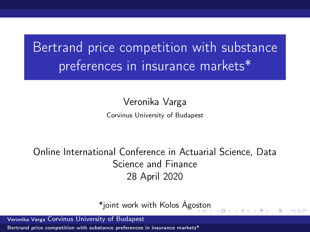# <span id="page-0-0"></span>Bertrand price competition with substance preferences in insurance markets\*

Veronika Varga

Corvinus University of Budapest

Online International Conference in Actuarial Science, Data Science and Finance 28 April 2020

\*joint work with Kolos Ág[osto](#page-0-0)[n](#page-1-0)

 $\Omega$ 

Veronika Varga Corvinus University of Budapest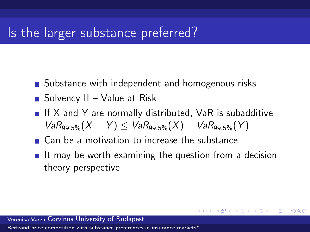## <span id="page-1-0"></span>Is the larger substance preferred?

- Substance with independent and homogenous risks
- $\blacksquare$  Solvency II Value at Risk
- If  $X$  and  $Y$  are normally distributed, VaR is subadditive  $VaR_{99.5\%}(X + Y) < VaR_{99.5\%}(X) + VaR_{99.5\%}(Y)$
- Can be a motivation to increase the substance
- $\blacksquare$  It may be worth examining the question from a decision theory perspective

キロメ メタメ メモメ メモメ

 $209$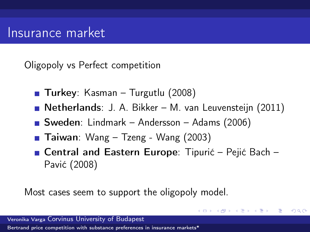#### Insurance market

Oligopoly vs Perfect competition

- **Turkey**: Kasman Turgutlu (2008)
- Netherlands: J. A. Bikker M. van Leuvensteijn (2011)
- Sweden: Lindmark Andersson Adams (2006)
- **Taiwan**: Wang Tzeng Wang  $(2003)$
- Central and Eastern Europe: Tipurić Pejić Bach Pavić (2008)

K ロト K 御 ト K 君 ト K 君

 $\Omega$ 

Most cases seem to support the oligopoly model.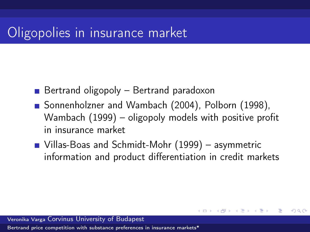## Oligopolies in insurance market

- Bertrand oligopoly Bertrand paradoxon
- Sonnenholzner and Wambach (2004), Polborn (1998), Wambach (1999) – oligopoly models with positive profit in insurance market
- Villas-Boas and Schmidt-Mohr (1999) asymmetric information and product differentiation in credit markets

K ロト K 御 ト K 君 ト K 君

 $209$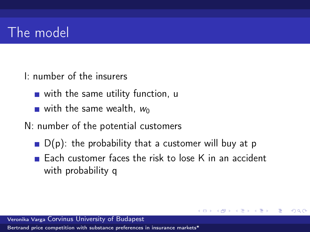# The model

- I: number of the insurers
	- $\blacksquare$  with the same utility function, u
	- $\blacksquare$  with the same wealth,  $w_0$
- N: number of the potential customers
	- $\blacksquare$  D(p): the probability that a customer will buy at p
	- $\blacksquare$  Each customer faces the risk to lose K in an accident with probability q

 $209$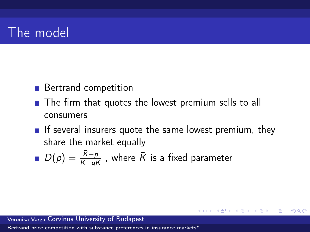## <span id="page-5-0"></span>The model

- **Bertrand competition**
- The firm that quotes the lowest premium sells to all consumers
- If several insurers quote the same lowest premium, they share the market equally

メロメ メタメ メミメ メミメ

重

 $\Omega$ 

 $D(\rho)=\frac{\bar{K}-\rho}{\bar{K}-qK}$  , where  $\bar{K}$  is a fixed parameter

Veronika Varga Corvinus University of Budapest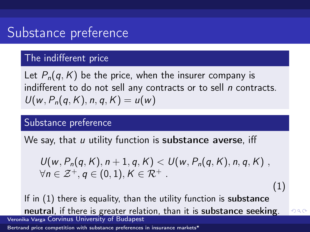# <span id="page-6-0"></span>Substance preference

#### The indifferent price

Let  $P_n(q, K)$  be the price, when the insurer company is indifferent to do not sell any contracts or to sell n contracts.  $U(w, P_n(q, K), n, q, K) = u(w)$ 

#### Substance preference

We say, that  $u$  utility function is substance averse, iff

<span id="page-6-1"></span> $U(w, P_n(q, K), n+1, q, K) < U(w, P_n(q, K), n, q, K)$ ,  $\forall n \in \mathcal{Z}^+$ ,  $q \in (0,1)$ ,  $K \in \mathcal{R}^+$ .

(1)

 $QQQ$ 

If in [\(1\)](#page-6-1) there is equality, than the utility function is substance neutral, if there is greater relation, than it i[s](#page-5-0) s[ub](#page-7-0)[s](#page-5-0)[ta](#page-6-0)[n](#page-7-0)[ce](#page-0-0) [s](#page-20-0)[ee](#page-0-0)[kin](#page-20-0)[g](#page-0-0)[.](#page-20-0) Veronika Varga Corvinus University of Budapest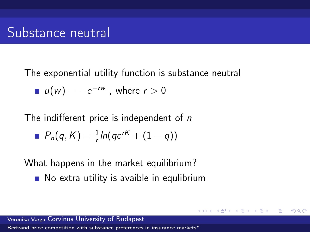## <span id="page-7-0"></span>Substance neutral

The exponential utility function is substance neutral  $u(w) = -e^{-rw}$  , where  $r > 0$ 

The indifferent price is independent of  $n$ 

$$
P_n(q, K) = \frac{1}{r} \ln(q e^{rK} + (1-q))
$$

What happens in the market equilibrium?

No extra utility is avaible in equlibrium

キロメ メ御メ メモメ メモ

 $209$ 

Veronika Varga Corvinus University of Budapest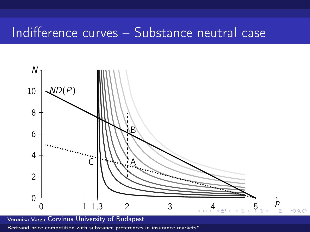## Indifference curves – Substance neutral case



Veronika Varga Corvinus University of Budapest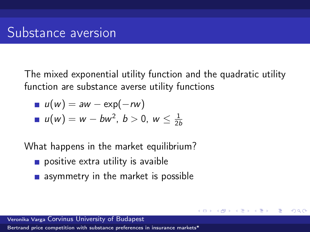<span id="page-9-0"></span>The mixed exponential utility function and the quadratic utility function are substance averse utility functions

 $209$ 

■ 
$$
u(w) = aw - exp(-rw)
$$
  
\n■  $u(w) = w - bw^2, b > 0, w \le \frac{1}{2b}$ 

What happens in the market equilibrium?

- $\blacksquare$  positive extra utility is avaible
- **a** asymmetry in the market is possible

Veronika Varga Corvinus University of Budapest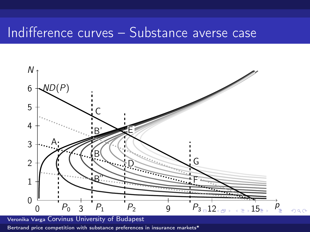### Indifference curves – Substance averse case



Veronika Varga Corvinus University of Budapest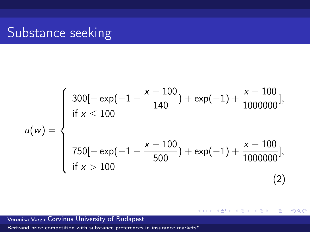## <span id="page-11-0"></span>Substance seeking

$$
u(w) = \begin{cases} 300[-\exp(-1 - \frac{x - 100}{140}) + \exp(-1) + \frac{x - 100}{1000000}], \\ \text{if } x \le 100 \\ 750[-\exp(-1 - \frac{x - 100}{500}) + \exp(-1) + \frac{x - 100}{1000000}], \\ \text{if } x > 100 \end{cases}
$$
(2)

重

**K ロ ト K (型 ) - K** 

重き→ 后  $\rightarrow$   $299$ 

Veronika Varga Corvinus University of Budapest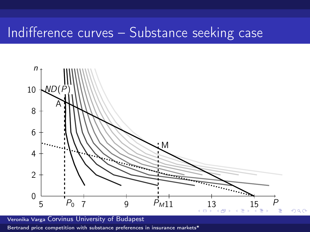### <span id="page-12-0"></span>Indifference curves – Substance seeking case



Veronika Varga Corvinus University of Budapest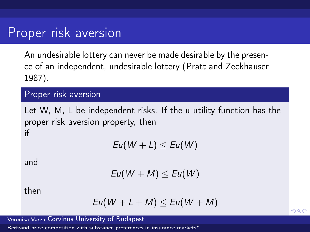#### <span id="page-13-0"></span>Proper risk aversion

An undesirable lottery can never be made desirable by the presence of an independent, undesirable lottery (Pratt and Zeckhauser 1987).

#### Proper risk aversion

Let W, M, L be independent risks. If the u utility function has the proper risk aversion property, then if

 $Eu(W + L) \leq Eu(W)$ 

and

$$
Eu(W + M) \le Eu(W)
$$

then

$$
Eu(W + L + M) \le Eu(W + M)
$$

Veronika Varga Corvinus University of Budapest

[Bertrand price competition with substance preferences in insurance markets\\*](#page-0-0)

 $QQQ$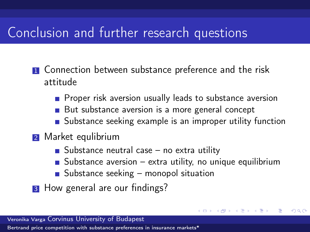# <span id="page-14-0"></span>Conclusion and further research questions

- **1** Connection between substance preference and the risk attitude
	- **Proper risk aversion usually leads to substance aversion**
	- But substance aversion is a more general concept
	- **Substance seeking example is an improper utility function**
- 2 Market equlibrium
	- Substance neutral case  $-$  no extra utility
	- Substance aversion extra utility, no unique equilibrium

キロメ メ御メ メモメ メモ

 $209$ 

- Substance seeking monopol situation
- **3** How general are our findings?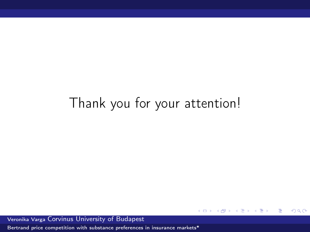# Thank you for your attention!

4 0 F ∢ 母 Þ  $\mathbf{p}$   $QQ$ 

重

Veronika Varga Corvinus University of Budapest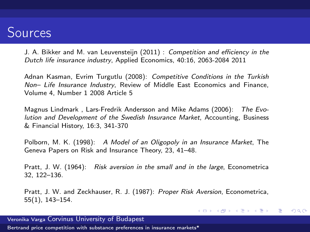### Sources

J. A. Bikker and M. van Leuvensteijn (2011) : Competition and efficiency in the Dutch life insurance industry, Applied Economics, 40:16, 2063-2084 2011

Adnan Kasman, Evrim Turgutlu (2008): Competitive Conditions in the Turkish Non– Life Insurance Industry, Review of Middle East Economics and Finance, Volume 4, Number 1 2008 Article 5

Magnus Lindmark , Lars-Fredrik Andersson and Mike Adams (2006): The Evolution and Development of the Swedish Insurance Market, Accounting, Business & Financial History, 16:3, 341-370

Polborn, M. K. (1998): A Model of an Oligopoly in an Insurance Market, The Geneva Papers on Risk and Insurance Theory, 23, 41–48.

Pratt, J. W. (1964): Risk aversion in the small and in the large, Econometrica 32, 122–136.

Pratt, J. W. and Zeckhauser, R. J. (1987): Proper Risk Aversion, Econometrica, 55(1), 143–154.

イロメ イ押メ イヨメ イヨメ

Ε

 $\Omega$ 

Veronika Varga Corvinus University of Budapest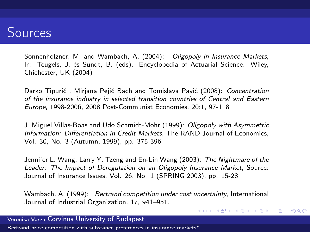## Sources

Sonnenholzner, M. and Wambach, A. (2004): Oligopoly in Insurance Markets, In: Teugels, J. és Sundt, B. (eds). Encyclopedia of Actuarial Science. Wiley, Chichester, UK (2004)

Darko Tipurić , Mirjana Pejić Bach and Tomislava Pavić (2008): Concentration of the insurance industry in selected transition countries of Central and Eastern Europe, 1998-2006, 2008 Post-Communist Economies, 20:1, 97-118

J. Miguel Villas-Boas and Udo Schmidt-Mohr (1999): Oligopoly with Asymmetric Information: Differentiation in Credit Markets, The RAND Journal of Economics, Vol. 30, No. 3 (Autumn, 1999), pp. 375-396

Jennifer L. Wang, Larry Y. Tzeng and En-Lin Wang (2003): The Nightmare of the Leader: The Impact of Deregulation on an Oligopoly Insurance Market, Source: Journal of Insurance Issues, Vol. 26, No. 1 (SPRING 2003), pp. 15-28

Wambach, A. (1999): Bertrand competition under cost uncertainty, International Journal of Industrial Organization, 17, 941–951.

イロメ イ押メ イヨメ イヨメ

∍

 $\Omega$ 

Veronika Varga Corvinus University of Budapest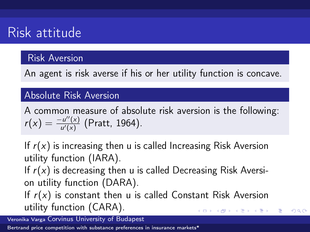# Risk attitude

#### Risk Aversion

An agent is risk averse if his or her utility function is concave.

#### Absolute Risk Aversion

A common measure of absolute risk aversion is the following:  $r(x) = \frac{-u''(x)}{u'(x)}$  $\frac{e^{u(x)}}{u'(x)}$  (Pratt, 1964).

If  $r(x)$  is increasing then u is called Increasing Risk Aversion utility function (IARA).

If  $r(x)$  is decreasing then u is called Decreasing Risk Aversion utility function (DARA).

If  $r(x)$  is constant then u is called Constant Risk Aversion utility function (CARA). キロメ メ御き メモメ メモメ

 $209$ 

Veronika Varga Corvinus University of Budapest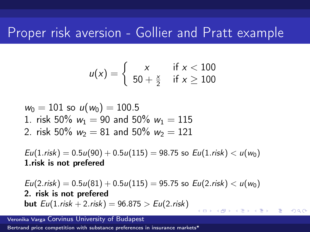#### Proper risk aversion - Gollier and Pratt example

$$
u(x) = \left\{\begin{array}{cc} x & \text{if } x < 100 \\ 50 + \frac{x}{2} & \text{if } x \ge 100 \end{array}\right.
$$

$$
w_0 = 101 \text{ so } u(w_0) = 100.5
$$
  
1. risk 50%  $w_1 = 90$  and 50%  $w_1 = 115$   
2. risk 50%  $w_2 = 81$  and 50%  $w_2 = 121$ 

 $Eu(1. risk) = 0.5u(90) + 0.5u(115) = 98.75$  so  $Eu(1. risk) < u(w_0)$ 1.risk is not prefered

 $Eu(2.risk) = 0.5u(81) + 0.5u(115) = 95.75$  so  $Eu(2.risk) < u(w_0)$ 2. risk is not prefered **but**  $Eu(1. \text{risk} + 2. \text{risk}) = 96.875 > Eu(2. \text{risk})$ 

 $209$ 

Veronika Varga Corvinus University of Budapest